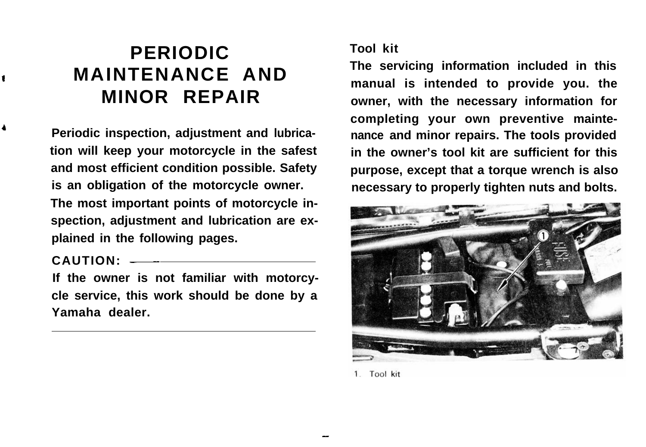# **PERIODIC** Tool kit<br> **PERIODIC The servicing information included in this MAINTENANCE AND**

**Periodic inspection, adjustment and lubrica- nance and minor repairs. The tools provided tion will keep your motorcycle in the safest in the owner's tool kit are sufficient for this is an obligation of the motorcycle owner. necessary to properly tighten nuts and bolts. The most important points of motorcycle inspection, adjustment and lubrication are explained in the following pages.**

**CAUTION: \_\_**

**If the owner is not familiar with motorcycle service, this work should be done by a Yamaha dealer.**

**manual is intended to provide you. the MINOR REPAIR owner, with the necessary information for completing your own preventive mainteand most efficient condition possible. Safety purpose, except that a torque wrench is also**



<sup>1.</sup> Tool kit

- <sup>29</sup>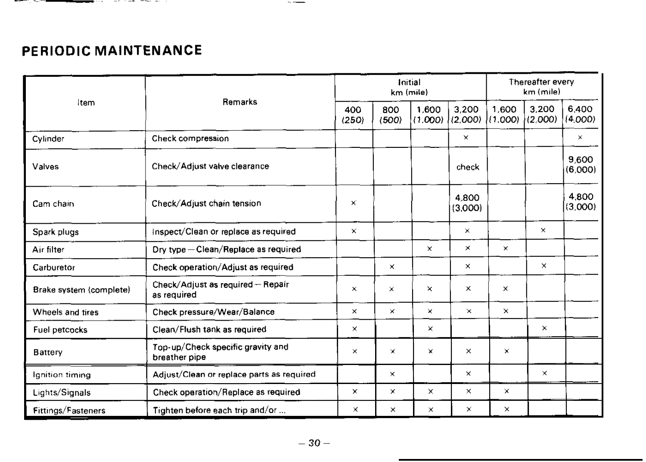## PERIODIC MAINTENANCE

 $$ and the first state of

|                         | Remarks                                            | Initial<br>km (mile) |              |                  |                  | Thereafter every<br>km (mile) |                  |                  |
|-------------------------|----------------------------------------------------|----------------------|--------------|------------------|------------------|-------------------------------|------------------|------------------|
| Item                    |                                                    | 400<br>(250)         | 800<br>(500) | 1.600<br>(1.000) | 3.200<br>(2,000) | 1.600<br>11.000)              | 3.200<br>(2.000) | 6.400<br>(4.000) |
| Cylinder                | Check compression                                  |                      |              |                  | $\pmb{\times}$   |                               |                  | $\times$         |
| Valves                  | Check/Adjust valve clearance                       |                      |              |                  | check            |                               |                  | 9.600<br>(6.000) |
| Cam chain               | Check/Adjust chain tension                         | ×                    |              |                  | 4.800<br>(3.000) |                               |                  | 4800<br>(3,000)  |
| Spark plugs             | Inspect/Clean or replace as required               | $\times$             |              |                  | $\times$         |                               | $\times$         |                  |
| Air filter              | Dry type-Clean/Replace as required                 |                      |              | $\pmb{\times}$   | $\times$         | ×                             |                  |                  |
| Carburetor              | Check operation/Adjust as required                 |                      | ×            |                  | $\times$         |                               | $\times$         |                  |
| Brake system (complete) | Check/Adjust as required - Repair<br>as required   | $\times$             | ×            | $\times$         | $\times$         | $\times$                      |                  |                  |
| Wheels and tires        | Check pressure/Wear/Balance                        | $\times$             | $\times$     | $\times$         | $\times$         | $\times$                      |                  |                  |
| Fuel petcocks           | Clean/Flush tank as required                       | $\times$             |              | ×                |                  |                               | $\times$         |                  |
| <b>Battery</b>          | Top-up/Check specific gravity and<br>breather pipe | $\times$             | ×            | $\mathbf x$      | $\times$         | $\times$                      |                  |                  |
| Ignition timing         | Adjust/Clean or replace parts as required          |                      | $\times$     |                  | $\times$         |                               | $\times$         |                  |
| Lights/Signals          | Check operation/Replace as required                | $\times$             | x            | ×                | $\times$         | $\times$                      |                  |                  |
| Fittings/Fasteners      | Tighten before each trip and/or                    | $\times$             | $\times$     | $\times$         | $\times$         | $\times$                      |                  |                  |

 $\sim$   $\sim$   $\sim$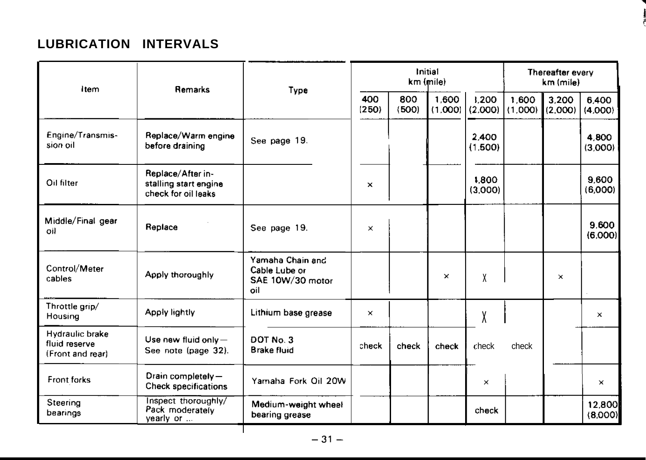## **LUBRICATION INTERVALS**

| item                                                 | Remarks                                                           | Type                                                         | Initial<br>km (mile) |              |                  |                  | Thereafter every<br>km (mile) |                  |                   |
|------------------------------------------------------|-------------------------------------------------------------------|--------------------------------------------------------------|----------------------|--------------|------------------|------------------|-------------------------------|------------------|-------------------|
|                                                      |                                                                   |                                                              | 400<br>(250)         | 800<br>(500) | 1.600<br>(1.000) | 1,200<br>(2,000) | 1.600<br>(1.000)              | 3.200<br>(2,000) | 6.400<br>(4,000)  |
| Engine/Transmis-<br>sion oil                         | Replace/Warm engine<br>before draining                            | See page 19.                                                 |                      |              |                  | 2.400<br>(1.500) |                               |                  | 4.800<br>(3.000)  |
| Oil filter                                           | Replace/After in-<br>stalling start engine<br>check for oil leaks |                                                              | $\mathbf{x}$         |              |                  | 1,800<br>(3,000) |                               |                  | 9.600<br>(6,000)  |
| Middle/Final gear<br>oil                             | Replace                                                           | See page 19.                                                 | $\times$             |              |                  |                  |                               |                  | 9.600<br>(6,000)  |
| Control/Meter<br>cables                              | Apply thoroughly                                                  | Yamaha Chain and<br>Cable Lube or<br>SAE 10W/30 motor<br>oil |                      |              | $\times$         | X                |                               | $\times$         |                   |
| Throttle grip/<br>Housing                            | Apply lightly                                                     | Lithium base grease                                          | $\times$             |              |                  | V<br>Λ           |                               |                  | $\times$          |
| Hydraulic brake<br>fluid reserve<br>(Front and rear) | Use new fluid only-<br>See note (page 32).                        | DOT No. 3<br><b>Brake fluid</b>                              | check                | check        | check            | check            | check                         |                  |                   |
| Front forks                                          | Drain completely-<br><b>Check specifications</b>                  | Yamaha Fork Oil 20W                                          |                      |              |                  | $\times$         |                               |                  | $\times$          |
| Steering<br>bearings                                 | Inspect thoroughly/<br>Pack moderately<br>vearly or               | Medium-weight wheel<br>bearing grease                        |                      |              |                  | chack            |                               |                  | 12.800<br>(8.000) |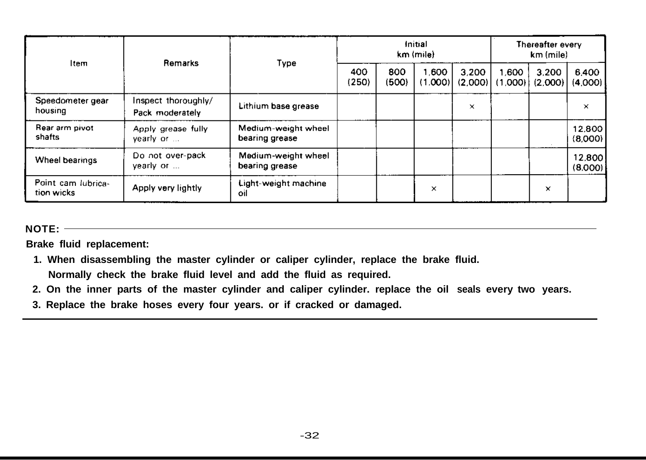| Item                             | Remarks                                | Type                                  | Initial<br>km (mile) |              |                  |                  | Thereafter every<br>km (mile) |                  |                   |
|----------------------------------|----------------------------------------|---------------------------------------|----------------------|--------------|------------------|------------------|-------------------------------|------------------|-------------------|
|                                  |                                        |                                       | 400<br>(250)         | 800<br>(500) | 1.600<br>(1.000) | 3.200<br>(2,000) | 1.600<br>(1.0001)             | 3.200<br>(2.000) | 6.400<br>(4.000)  |
| Speedometer gear<br>housing      | Inspect thoroughly/<br>Pack moderately | Lithium base grease                   |                      |              |                  | $\times$         |                               |                  | ×                 |
| Rear arm pivot<br>shafts         | Apply grease fully<br>yearly or        | Medium-weight wheel<br>bearing grease |                      |              |                  |                  |                               |                  | 12.800<br>(8.000) |
| Wheel bearings                   | Do not over-pack<br>vearly or          | Medium-weight wheel<br>bearing grease |                      |              |                  |                  |                               |                  | 12,800<br>(8.000) |
| Point cam lubrica-<br>tion wicks | Apply very lightly                     | Light-weight machine<br>oil           |                      |              | $\times$         |                  |                               | ×                |                   |

**NOTE:**

**Brake fluid replacement:**

- **1. When disassembling the master cylinder or caliper cylinder, replace the brake fluid. Normally check the brake fluid level and add the fluid as required.**
- **2. On the inner parts of the master cylinder and caliper cylinder. replace the oil seals every two years.**
- **3. Replace the brake hoses every four years. or if cracked or damaged.**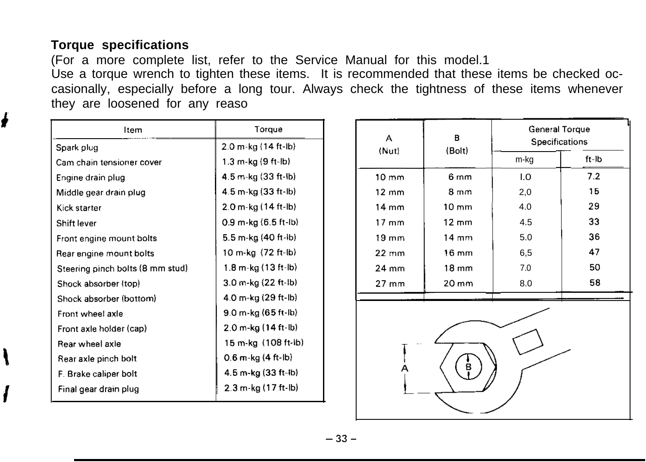## **Torque specifications**

ė

(For a more complete list, refer to the Service Manual for this model.1 Use a torque wrench to tighten these items. It is recommended that these items be checked occasionally, especially before a long tour. Always check the tightness of these items whenever they are loosened for any reaso

| ltem                             | Torque                   |  |  |  |  |
|----------------------------------|--------------------------|--|--|--|--|
| Spark plug                       | 2.0 m-kg (14 ft-lb)      |  |  |  |  |
| Cam chain tensioner cover        | 1.3 m kg (9 ft-lb)       |  |  |  |  |
| Engine drain plug                | 4.5 m-kg (33 ft-lb)      |  |  |  |  |
| Middle gear drain plug           | 4.5 m-kg (33 ft-lb)      |  |  |  |  |
| Kick starter                     | 2.0 m-kg (14 ft-lb)      |  |  |  |  |
| Shift lever                      | $0.9$ m-kg $(6.5$ ft-lb) |  |  |  |  |
| Front engine mount bolts         | 5.5 m-kg (40 ft-lb)      |  |  |  |  |
| Rear engine mount bolts          | 10 m-kg (72 ft-lb)       |  |  |  |  |
| Steering pinch bolts (8 mm stud) | 1.8 m-kg (13 ft-lb)      |  |  |  |  |
| Shock absorber (top)             | 3.0 m-kg (22 ft-lb)      |  |  |  |  |
| Shock absorber (bottom)          | 4.0 m-kg (29 ft-lb)      |  |  |  |  |
| Front wheel axle                 | 9.0 m-kg (65 ft-lb)      |  |  |  |  |
| Front axle holder (cap)          | 2.0 m-kg (14 ft-lb)      |  |  |  |  |
| Rear wheel axie                  | 15 m-kg (108 ft-ib)      |  |  |  |  |
| Rear axle pinch bolt             | 0.6 m-kg (4 ft-lb)       |  |  |  |  |
| F. Brake caliper bolt            | 4.5 m-kg (33 ft-lb)      |  |  |  |  |
| Final gear drain plug            | 2.3 m-kg (17 ft-lb)      |  |  |  |  |

| А                | в                 | General Torque<br>Specifications |       |  |  |  |  |
|------------------|-------------------|----------------------------------|-------|--|--|--|--|
| (Nut)            | (Bolt)            | m-kg                             | ft-Ib |  |  |  |  |
| 10 <sub>mm</sub> | 6 <sub>mm</sub>   | I.O                              | 7.2   |  |  |  |  |
| $12 \text{ mm}$  | $8 \text{ mm}$    | 2,0                              | 15    |  |  |  |  |
| 14 mm            | $10 \text{ mm}$   | 4.0                              | 29    |  |  |  |  |
| $17 \text{ mm}$  | $12 \text{ mm}$   | 4.5                              | 33    |  |  |  |  |
| $19 \text{ mm}$  | $14 \text{ mm}$   | 5.0                              | 36    |  |  |  |  |
| $22 \text{ mm}$  | $16 \text{ mm}$   | 6,5                              | 47    |  |  |  |  |
| 24 mm            | $18 \text{ mm}$   | 7.0                              | 50    |  |  |  |  |
| 27 mm            | $20 \, \text{mm}$ | 8.0                              | 58    |  |  |  |  |
|                  |                   |                                  |       |  |  |  |  |
| в                |                   |                                  |       |  |  |  |  |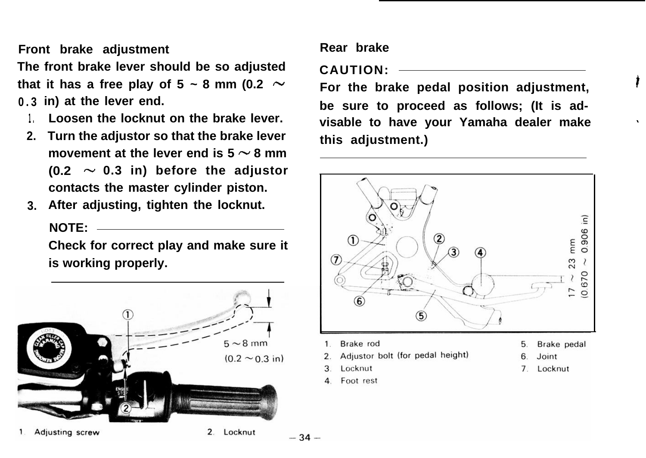**Front brake adjustment**

**The front brake lever should be so adjusted** that it has a free play of 5  $\sim$  8 mm (0.2  $\sim$ **0.3 in) at the lever end.**

- **1. Loosen the locknut on the brake lever.**
- **2. Turn the adjustor so that the brake lever** movement at the lever end is  $5 \sim 8$  mm  $(0.2 \sim 0.3$  in) before the adjustor **contacts the master cylinder piston.**
- **3. After adjusting, tighten the locknut. NOTE:**

**Check for correct play and make sure it is working properly.**



#### Adjusting screw

2. Locknut

## **Rear brake**

**CAUTION:**

**For the brake pedal position adjustment, be sure to proceed as follows; (It is advisable to have your Yamaha dealer make this adjustment.)**



- Brake rod
- Adjustor bolt (for pedal height)
- Locknut
- Foot rest

 $-34-$ 

- Brake pedal 5.
- Joint
- $\overline{7}$ Locknut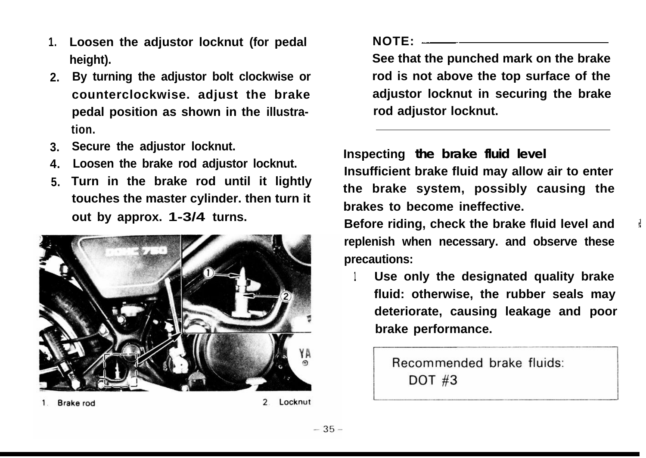- **1. Loosen the adjustor locknut (for pedal height).**
- **2. By turning the adjustor bolt clockwise or counterclockwise. adjust the brake pedal position as shown in the illustration.**
- **3. Secure the adjustor locknut.**
- **4. Loosen the brake rod adjustor locknut.**
- **5. Turn in the brake rod until it lightly touches the master cylinder. then turn it out by approx. 1-3/4 turns.**



Brake rod

Locknut

**NOTE:**  $\frac{1}{2}$  **NOTE:**  $\frac{1}{2}$  **NOTE:**  $\frac{1}{2}$  *NOTE:*  $\frac{1}{2}$  *NOTE:*  $\frac{1}{2}$  *NOTE:*  $\frac{1}{2}$  *NOTE:*  $\frac{1}{2}$  *NOTE:*  $\frac{1}{2}$  *NOTE:*  $\frac{1}{2}$  *NOTE:*  $\frac{1}{2}$  *NOTE:*  $\frac{1}{2}$  *NOTE:* 

**See that the punched mark on the brake rod is not above the top surface of the adjustor locknut in securing the brake rod adjustor locknut.**

**Inspecting the brake fluid level Insufficient brake fluid may allow air to enter the brake system, possibly causing the brakes to become ineffective.**

**Before riding, check the brake fluid level and replenish when necessary. and observe these precautions:**

**<sup>1</sup> Use only the designated quality brake fluid: otherwise, the rubber seals may deteriorate, causing leakage and poor poor brake performance.**

> Recommended brake fluids: **DOT #3**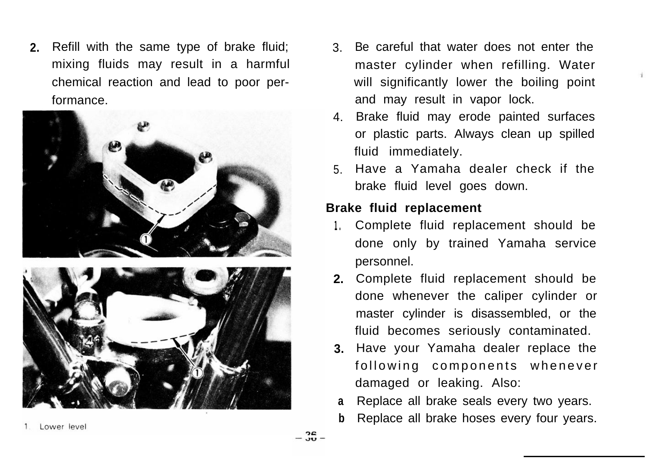**2.** Refill with the same type of brake fluid; mixing fluids may result in a harmful chemical reaction and lead to poor performance.





- 3. Be careful that water does not enter the master cylinder when refilling. Water will significantly lower the boiling point and may result in vapor lock.
- 4. Brake fluid may erode painted surfaces or plastic parts. Always clean up spilled fluid immediately.
- 5. Have a Yamaha dealer check if the brake fluid level goes down.

## **Brake fluid replacement**

- **1.** Complete fluid replacement should be done only by trained Yamaha service personnel.
- **2.** Complete fluid replacement should be done whenever the caliper cylinder or master cylinder is disassembled, or the fluid becomes seriously contaminated.
- **3.** Have your Yamaha dealer replace the following components whenever damaged or leaking. Also:
- **a** Replace all brake seals every two years.
- **b** Replace all brake hoses every four years.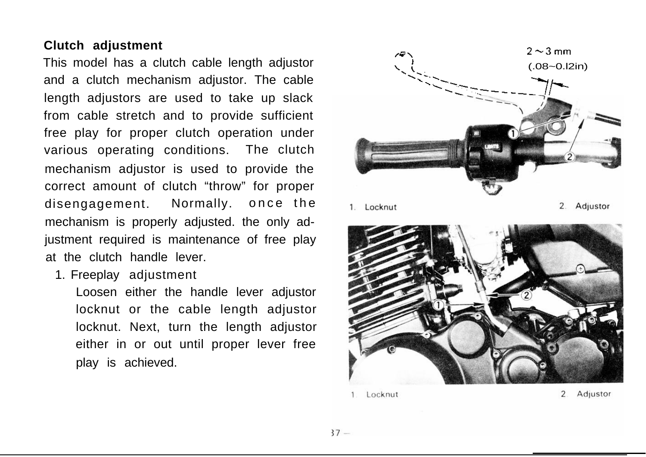## **Clutch adjustment**

This model has a clutch cable length adjustor and a clutch mechanism adjustor. The cable length adjustors are used to take up slack from cable stretch and to provide sufficient free play for proper clutch operation under various operating conditions. The clutch mechanism adjustor is used to provide the correct amount of clutch "throw" for proper disengagement. Normally. once the mechanism is properly adjusted. the only adjustment required is maintenance of free play at the clutch handle lever.

1. Freeplay adjustment

Loosen either the handle lever adjustor locknut or the cable length adjustor locknut. Next, turn the length adjustor either in or out until proper lever free play is achieved.



1. Locknut

2. Adjustor